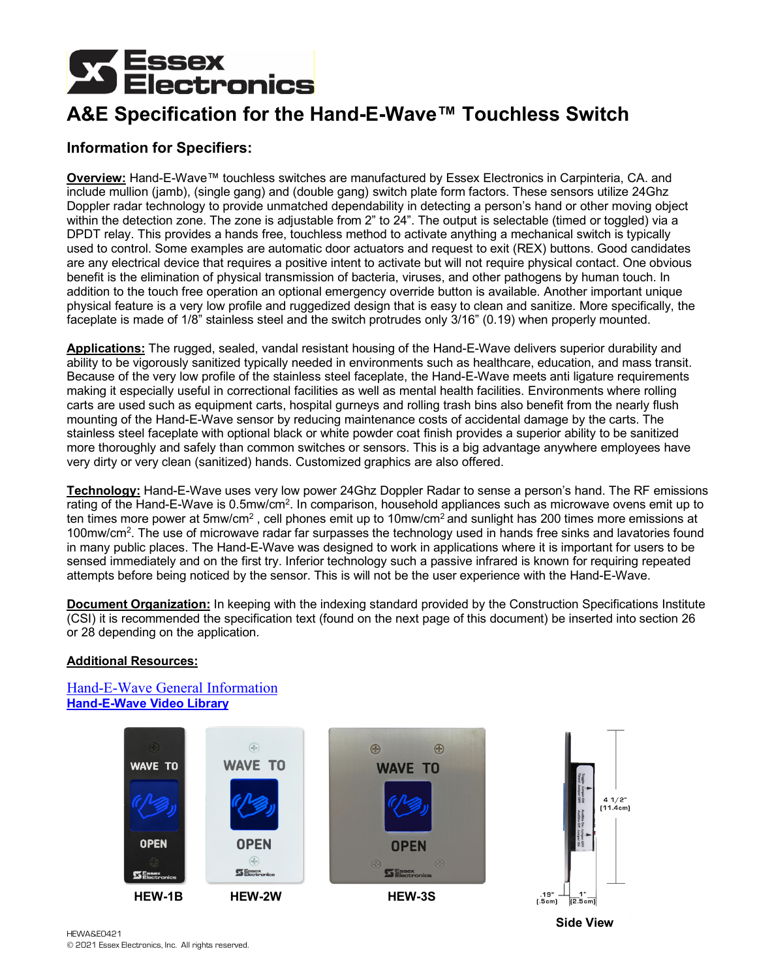# **Essex<br>Electronics**

# **A&E Specification for the Hand-E-Wave™ Touchless Switch**

# **Information for Specifiers:**

**Overview:** Hand-E-Wave™ touchless switches are manufactured by Essex Electronics in Carpinteria, CA. and include mullion (jamb), (single gang) and (double gang) switch plate form factors. These sensors utilize 24Ghz Doppler radar technology to provide unmatched dependability in detecting a person's hand or other moving object within the detection zone. The zone is adjustable from 2" to 24". The output is selectable (timed or toggled) via a DPDT relay. This provides a hands free, touchless method to activate anything a mechanical switch is typically used to control. Some examples are automatic door actuators and request to exit (REX) buttons. Good candidates are any electrical device that requires a positive intent to activate but will not require physical contact. One obvious benefit is the elimination of physical transmission of bacteria, viruses, and other pathogens by human touch. In addition to the touch free operation an optional emergency override button is available. Another important unique physical feature is a very low profile and ruggedized design that is easy to clean and sanitize. More specifically, the faceplate is made of 1/8" stainless steel and the switch protrudes only 3/16" (0.19) when properly mounted.

**Applications:** The rugged, sealed, vandal resistant housing of the Hand-E-Wave delivers superior durability and ability to be vigorously sanitized typically needed in environments such as healthcare, education, and mass transit. Because of the very low profile of the stainless steel faceplate, the Hand-E-Wave meets anti ligature requirements making it especially useful in correctional facilities as well as mental health facilities. Environments where rolling carts are used such as equipment carts, hospital gurneys and rolling trash bins also benefit from the nearly flush mounting of the Hand-E-Wave sensor by reducing maintenance costs of accidental damage by the carts. The stainless steel faceplate with optional black or white powder coat finish provides a superior ability to be sanitized more thoroughly and safely than common switches or sensors. This is a big advantage anywhere employees have very dirty or very clean (sanitized) hands. Customized graphics are also offered.

**Technology:** Hand-E-Wave uses very low power 24Ghz Doppler Radar to sense a person's hand. The RF emissions rating of the Hand-E-Wave is 0.5mw/cm2. In comparison, household appliances such as microwave ovens emit up to ten times more power at 5mw/cm<sup>2</sup>, cell phones emit up to 10mw/cm<sup>2</sup> and sunlight has 200 times more emissions at 100mw/cm<sup>2</sup>. The use of microwave radar far surpasses the technology used in hands free sinks and lavatories found in many public places. The Hand-E-Wave was designed to work in applications where it is important for users to be sensed immediately and on the first try. Inferior technology such a passive infrared is known for requiring repeated attempts before being noticed by the sensor. This is will not be the user experience with the Hand-E-Wave.

**Document Organization:** In keeping with the indexing standard provided by the Construction Specifications Institute (CSI) it is recommended the specification text (found on the next page of this document) be inserted into section 26 or 28 depending on the application.

# **Additional Resources:**

[Hand-E-Wave General Information](https://www.keyless.com/access-switches-hand-e-wave/) **[Hand-E-Wave Video Library](https://www.keyless.com/videos/#hand-e-wave-v)**



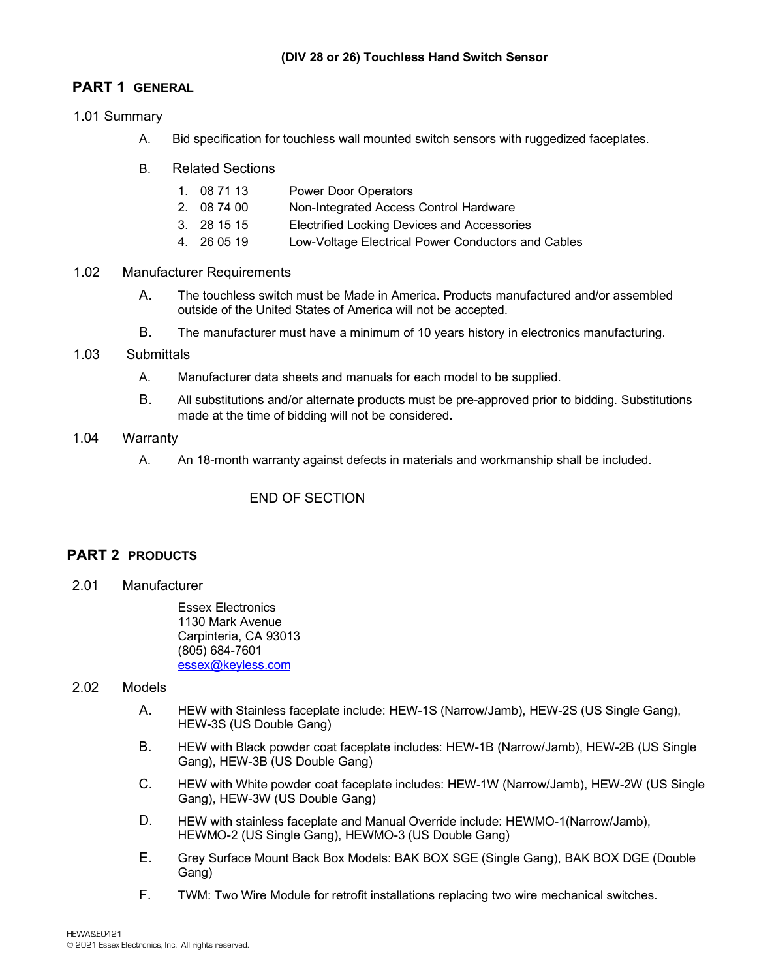# **PART 1 GENERAL**

# 1.01 Summary

- A. Bid specification for touchless wall mounted switch sensors with ruggedized faceplates.
- B. Related Sections
	- 1. 08 71 13 Power Door Operators
	- 2. 08 74 00 Non-Integrated Access Control Hardware
	- 3. 28 15 15 Electrified Locking Devices and Accessories
	- 4. 26 05 19 Low-Voltage Electrical Power Conductors and Cables

#### 1.02 Manufacturer Requirements

- A. The touchless switch must be Made in America. Products manufactured and/or assembled outside of the United States of America will not be accepted.
- B. The manufacturer must have a minimum of 10 years history in electronics manufacturing.

#### 1.03 Submittals

- A. Manufacturer data sheets and manuals for each model to be supplied.
- B. All substitutions and/or alternate products must be pre-approved prior to bidding. Substitutions made at the time of bidding will not be considered.

# 1.04 Warranty

A. An 18-month warranty against defects in materials and workmanship shall be included.

# END OF SECTION

# **PART 2 PRODUCTS**

2.01 Manufacturer

Essex Electronics 1130 Mark Avenue Carpinteria, CA 93013 (805) 684-7601 [essex@keyless.com](mailto:essex@keyless.com)

# 2.02 Models

- A. HEW with Stainless faceplate include: HEW-1S (Narrow/Jamb), HEW-2S (US Single Gang), HEW-3S (US Double Gang)
- B. HEW with Black powder coat faceplate includes: HEW-1B (Narrow/Jamb), HEW-2B (US Single Gang), HEW-3B (US Double Gang)
- C. HEW with White powder coat faceplate includes: HEW-1W (Narrow/Jamb), HEW-2W (US Single Gang), HEW-3W (US Double Gang)
- D. HEW with stainless faceplate and Manual Override include: HEWMO-1(Narrow/Jamb), HEWMO-2 (US Single Gang), HEWMO-3 (US Double Gang)
- E. Grey Surface Mount Back Box Models: BAK BOX SGE (Single Gang), BAK BOX DGE (Double Gang)
- F. TWM: Two Wire Module for retrofit installations replacing two wire mechanical switches.